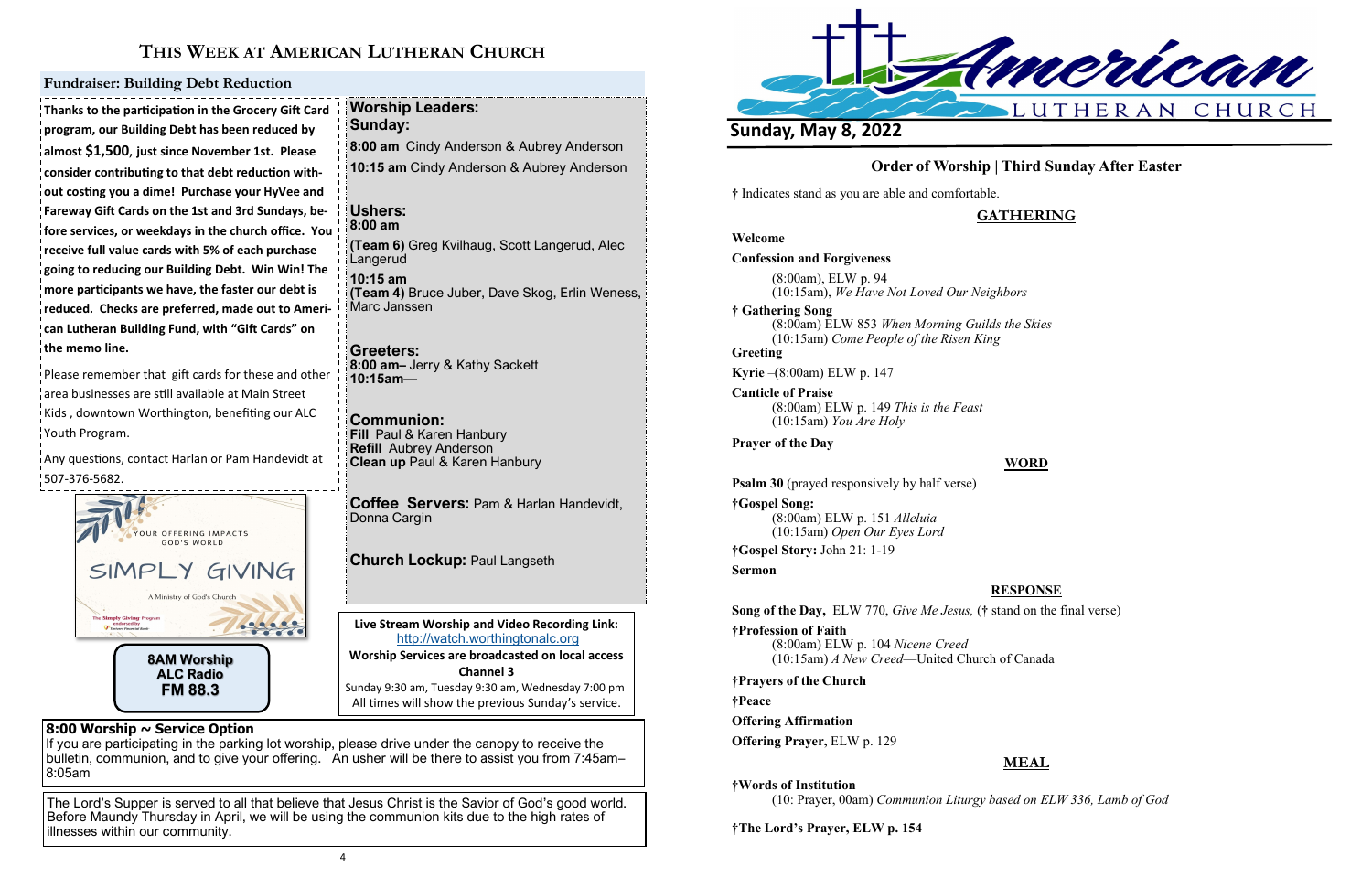

# **THIS WEEK AT AMERICAN LUTHERAN CHURCH**

**Live Stream Worship and Video Recording Link:**  <http://watch.worthingtonalc.org> **Worship Services are broadcasted on local access Channel 3** Sunday 9:30 am, Tuesday 9:30 am, Wednesday 7:00 pm All times will show the previous Sunday's service.

### **8:00 Worship ~ Service Option**

If you are participating in the parking lot worship, please drive under the canopy to receive the bulletin, communion, and to give your offering. An usher will be there to assist you from 7:45am– 8:05am

The Lord's Supper is served to all that believe that Jesus Christ is the Savior of God's good world. Before Maundy Thursday in April, we will be using the communion kits due to the high rates of illnesses within our community.

Please remember that gift cards for these and other area businesses are still available at Main Street Kids , downtown Worthington, benefiting our ALC Youth Program.

**Thanks to the participation in the Grocery Gift Card program, our Building Debt has been reduced by almost \$1,500**, **just since November 1st. Please consider contributing to that debt reduction without costing you a dime! Purchase your HyVee and Fareway Gift Cards on the 1st and 3rd Sundays, before services, or weekdays in the church office. You receive full value cards with 5% of each purchase going to reducing our Building Debt. Win Win! The more participants we have, the faster our debt is reduced. Checks are preferred, made out to American Lutheran Building Fund, with "Gift Cards" on the memo line.**

Any questions, contact Harlan or Pam Handevidt at 507-376-5682.

### **Fundraiser: Building Debt Reduction**

**Worship Leaders:** 

**Sunday:** 

**8:00 am** Cindy Anderson & Aubrey Anderson **10:15 am** Cindy Anderson & Aubrey Anderson

**Ushers: 8:00 am**

**(Team 6)** Greg Kvilhaug, Scott Langerud, Alec

Langerud **10:15 am** 

**(Team 4)** Bruce Juber, Dave Skog, Erlin Weness,

Marc Janssen

**Greeters:**

**8:00 am–** Jerry & Kathy Sackett

**10:15am—** 

**Communion:** 

**Fill** Paul & Karen Hanbury **Refill** Aubrey Anderson

**Clean up** Paul & Karen Hanbury

**Coffee Servers:** Pam & Harlan Handevidt,

Donna Cargin

**Church Lockup:** Paul Langseth



# **Order of Worship | Third Sunday After Easter**

**†** Indicates stand as you are able and comfortable.

## **GATHERING**

**Welcome Confession and Forgiveness** (8:00am), ELW p. 94 (10:15am), *We Have Not Loved Our Neighbors* **† Gathering Song**  (8:00am) ELW 853 *When Morning Guilds the Skies* (10:15am) *Come People of the Risen King* **Greeting Kyrie** –(8:00am) ELW p. 147 **Canticle of Praise** (8:00am) ELW p. 149 *This is the Feast* (10:15am) *You Are Holy* **Prayer of the Day Psalm 30** (prayed responsively by half verse)

### **WORD**

**†Gospel Song:** (8:00am) ELW p. 151 *Alleluia* (10:15am) *Open Our Eyes Lord*

**†Gospel Story:** John 21: 1-19

**Sermon**

**RESPONSE**

**Song of the Day,** ELW 770, *Give Me Jesus,* (**†** stand on the final verse) **†Profession of Faith** 

(8:00am) ELW p. 104 *Nicene Creed* (10:15am) *A New Creed*—United Church of Canada

**†Prayers of the Church**

**†Peace**

**Offering Affirmation**

**Offering Prayer,** ELW p. 129

# **MEAL**

**†Words of Institution**

(10: Prayer, 00am) *Communion Liturgy based on ELW 336, Lamb of God*

†**The Lord's Prayer, ELW p. 154**